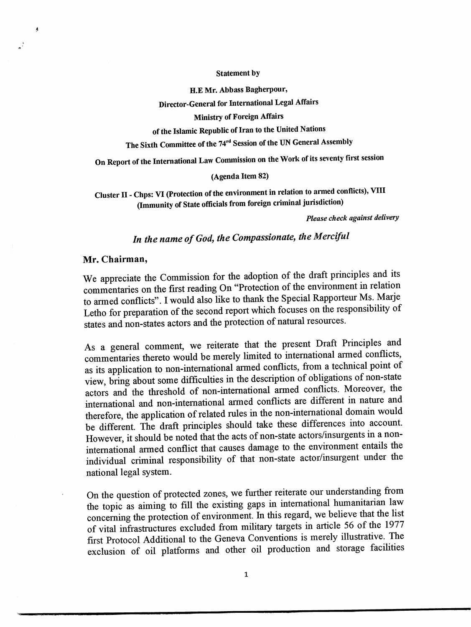#### Statement by

H.E Mr. Abbass Bagherpour,

Director-General for International Legal Affairs

Ministry of Foreign Affairs

of the Islamic Republic of Iran to the United Nations

The Sixth Committee of the 74<sup>rd</sup> Session of the UN General Assembly

On Report of the International Law Commission on the Work of its seventy first session

### (Agenda Item 82)

Cluster II - Chps: VI (Protection of the environment in relation to armed conflicts), VIII (Immunity of State officials from foreign criminal jurisdiction)

Please check against delivery

# In the name of God, the Compassionate, the Merciful

#### Mr. Chairman,

 $\boldsymbol{\beta}$ 

We appreciate the Commission for the adoption of the draft principles and its commentaries on the first reading On "Protection of the environment in relation to armed conflicts". I would also like to thank the Special Rapporteur Ms. Marje Letho for preparation of the second report which focuses on the responsibility of states and non-states actors and the protection of natural resources.

As a general comment, we reiterate that the present Draft Principles and commentaries thereto would be merely limited to international armed conflicts, as its application to non-international armed conflicts, from a technical point of view, bring about some difficulties in the description of obligations of non-state actors and the threshold of non-international armed conflicts. Moreover, the international and non-intemational armed conflicts are different in nature and therefore, the application of related rules in the non-intemational domain would be different. The draft principles should take these differences into account. However, it should be noted that the acts of non-state actors/insurgents in a nonintemational armed conflict that causes damage to the environment entails the individual criminal responsibility of that non-state actor/insurgent under the national legal system.

On the question of protected zones, we further reiterate our understanding from the topic as aiming to fill the existing gaps in international humanitarian law conceming the protection of environment. In this regard, we believe that the list of vital infrastmctures excluded from military targets in article 56 of die 1977 first Protocol Additional to the Geneva Conventions is merely illustrative. The exclusion of oil platforms and other oil production and storage facilities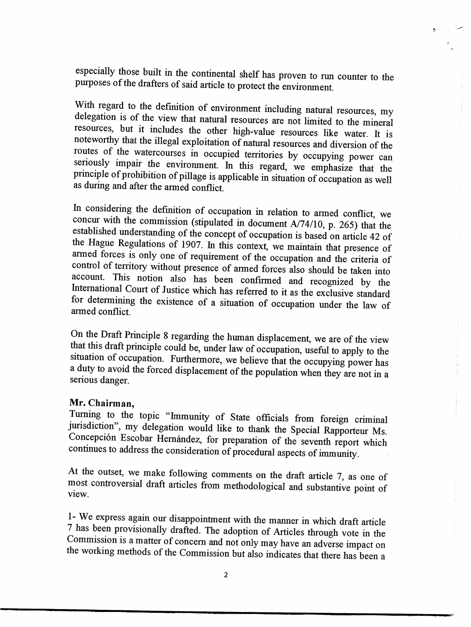especially those built in the continental shelf has proven to run counter to the purposes of the drafters of said article to protect the environment.

 $\ddot{\phantom{a}}$ 

With regard to the definition of environment including natural resources, my delegation is of the view that natural resources are not limited to the mineral resources, but it includes the other high-value resources like water. It is noteworthy that the illegal exploitation of natural resources and diversion of the routes of the watercourses in occupied territories by occupying power can seriously impair the environment. In this regard, we emphasize that the principle of prohibition of pillage is applicable in situation of occupation as well as durmg and after the armed conflict.

In considering the definition of occupation in relation to armed conflict, we concur with the commission (stipulated in document A/74/10, p. 265) that the established understanding of the concept of occupation is based on article 42 of the Hague Regulations of 1907. In this context, we maintain that presence of armed forces is only one of requirement of the occupation and the criteria of control of territory without presence of armed forces also should be taken into account. This notion also has been confirmed and recognized by the International Court of Justice which has referred to it as the exclusive standard for determining the existence of a situation of occupation under the law of armed conflict.

On the Draft Principle 8 regarding the human displacement, we are of the view that this draft principle could be, under law of occupation, useful to apply to the sitaation of occupation. Furthermore, we believe that the occupying power has a duty to avoid the forced displacement of the population when they are not in a serious danger.

## Mr. Chairman,

Turning to the topic "Immunity of State officials from foreign criminal jurisdiction", my delegation would like to thank the Special Rapporteur Ms. Concepción Escobar Hernández, for preparation of the seventh report which continues to address the consideration of procedural aspects of immunity.

At the outset, we make following comments on the draft article 7, as one of most controversial draft articles from methodological and substantive point of view.

1- We express again our disappointment with the manner in which draft article 7 has been provisionally drafted. The adoption of Articles through vote in the Commission is a matter of concern and not only may have an adverse impact on the working methods of the Commission but also indicates that there has been a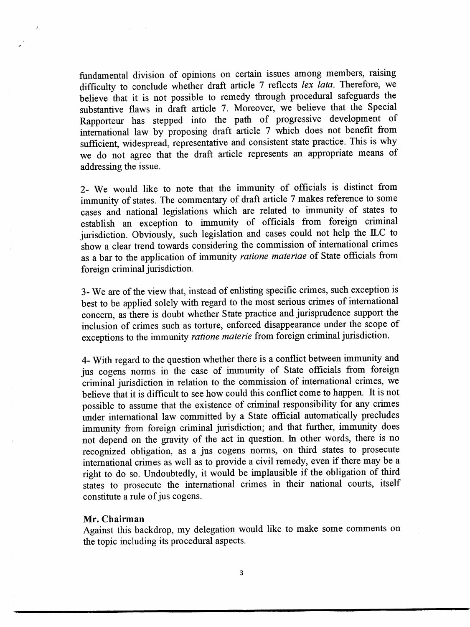fundamental division of opinions on certain issues among members, raising difficulty to conclude whether draft article 7 reflects lex lata. Therefore, we believe that it is not possible to remedy through procedural safeguards the substantive flaws in draft article 7. Moreover, we believe that the Special Rapporteur has stepped into the path of progressive development of international law by proposing draft article 7 which does not benefit from sufficient, widespread, representative and consistent state practice. This is why we do not agree that the draft article represents an appropriate means of addressing the issue.

2- We would like to note that the immunity of officials is distinct from immunity of states. The commentary of draft article 7 makes reference to some cases and national legislations which are related to immunity of states to establish an exception to immunity of officials from foreign criminal jurisdiction. Obviously, such legislation and cases could not help the ILC to show a clear trend towards considering the commission of international crimes as a bar to the application of immunity ratione materiae of State officials from foreign criminal jurisdiction.

3- We are of the view that, instead of enlisting specific crimes, such exception is best to be applied solely with regard to the most serious crimes of intemational concern, as there is doubt whether State practice and jurisprudence support the inclusion of crimes such as torture, enforced disappearance under the scope of exceptions to the immunity ratione materie from foreign criminal jurisdiction.

4- With regard to the question whether there is a conflict between immunity and jus cogens norms in the case of immunity of State officials from foreign criminal jurisdiction in relation to the commission of intemational crimes, we believe that it is difficult to see how could this conflict come to happen. It is not possible to assume that the existence of criminal responsibility for any crimes under intemational law committed by a State official automatically precludes immunity from foreign criminal jurisdiction; and that further, immunity does not depend on the gravity of the act in question. In other words, there is no recognized obligation, as a jus cogens norms, on third states to prosecute intemational crimes as well as to provide a civil remedy, even if there may be a right to do so. Undoubtedly, it would be implausible if the obligation of third states to prosecute the intemational crimes in their national comts, itself constitute a rule of jus cogens.

## Mr. Chairman

 $\mathcal{A}_1$ 

Against this backdrop, my delegation would like to make some comments on the topic including its procedural aspects.